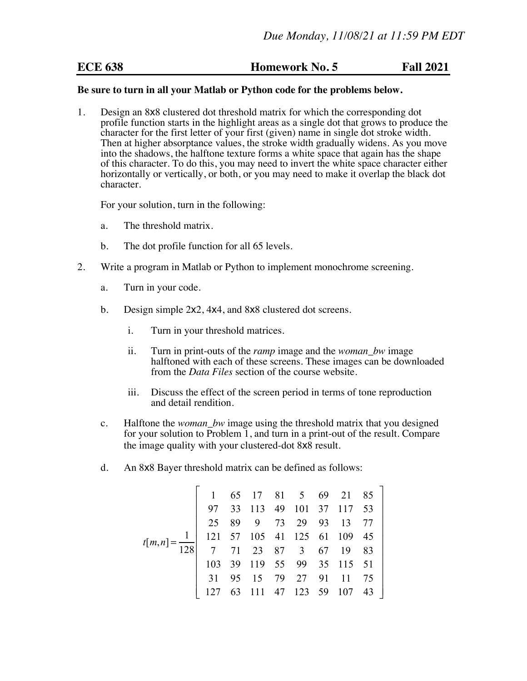## **ECE 638 Homework No. 5 Fall 2021**

## **Be sure to turn in all your Matlab or Python code for the problems below.**

1. Design an 8x8 clustered dot threshold matrix for which the corresponding dot profile function starts in the highlight areas as a single dot that grows to produce the character for the first letter of your first (given) name in single dot stroke width. Then at higher absorptance values, the stroke width gradually widens. As you move into the shadows, the halftone texture forms a white space that again has the shape of this character. To do this, you may need to invert the white space character either horizontally or vertically, or both, or you may need to make it overlap the black dot character.

For your solution, turn in the following:

- a. The threshold matrix.
- b. The dot profile function for all 65 levels.
- 2. Write a program in Matlab or Python to implement monochrome screening.
	- a. Turn in your code.
	- b. Design simple 2x2, 4x4, and 8x8 clustered dot screens.
		- i. Turn in your threshold matrices.
		- ii. Turn in print-outs of the *ramp* image and the *woman\_bw* image halftoned with each of these screens. These images can be downloaded from the *Data Files* section of the course website.
		- iii. Discuss the effect of the screen period in terms of tone reproduction and detail rendition.
	- c. Halftone the *woman\_bw* image using the threshold matrix that you designed for your solution to Problem 1, and turn in a print-out of the result. Compare the image quality with your clustered-dot 8x8 result.
	- d. An 8x8 Bayer threshold matrix can be defined as follows:

$$
t[m,n] = \frac{1}{128} \begin{bmatrix} 1 & 65 & 17 & 81 & 5 & 69 & 21 & 85 \\ 97 & 33 & 113 & 49 & 101 & 37 & 117 & 53 \\ 25 & 89 & 9 & 73 & 29 & 93 & 13 & 77 \\ 121 & 57 & 105 & 41 & 125 & 61 & 109 & 45 \\ 7 & 71 & 23 & 87 & 3 & 67 & 19 & 83 \\ 103 & 39 & 119 & 55 & 99 & 35 & 115 & 51 \\ 31 & 95 & 15 & 79 & 27 & 91 & 11 & 75 \\ 127 & 63 & 111 & 47 & 123 & 59 & 107 & 43 \end{bmatrix}
$$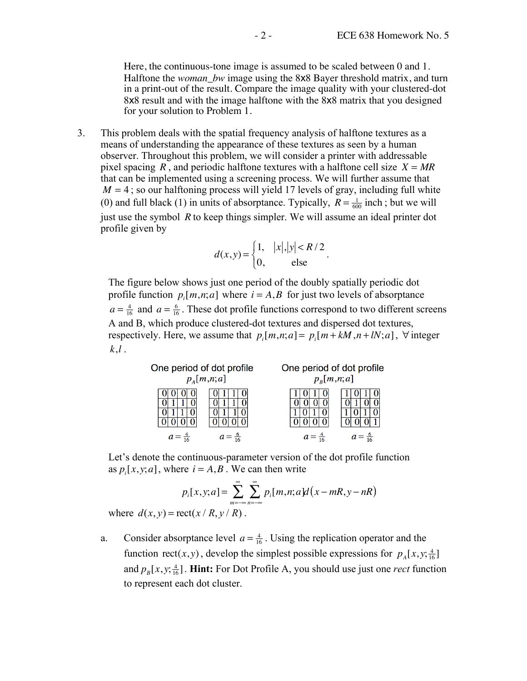Here, the continuous-tone image is assumed to be scaled between 0 and 1. Halftone the *woman\_bw* image using the 8x8 Bayer threshold matrix, and turn in a print-out of the result. Compare the image quality with your clustered-dot 8x8 result and with the image halftone with the 8x8 matrix that you designed for your solution to Problem 1.

3. This problem deals with the spatial frequency analysis of halftone textures as a means of understanding the appearance of these textures as seen by a human observer. Throughout this problem, we will consider a printer with addressable pixel spacing *R*, and periodic halftone textures with a halftone cell size  $X = MR$ that can be implemented using a screening process. We will further assume that  $M = 4$ ; so our halftoning process will yield 17 levels of gray, including full white (0) and full black (1) in units of absorptance. Typically,  $R = \frac{1}{600}$  inch; but we will just use the symbol *R* to keep things simpler. We will assume an ideal printer dot profile given by

$$
d(x,y) = \begin{cases} 1, & |x|, |y| < R/2 \\ 0, & \text{else} \end{cases}
$$

.

The figure below shows just one period of the doubly spatially periodic dot profile function  $p_i[m,n;a]$  where  $i = A, B$  for just two levels of absorptance  $a = \frac{4}{16}$  and  $a = \frac{6}{16}$ . These dot profile functions correspond to two different screens A and B, which produce clustered-dot textures and dispersed dot textures, respectively. Here, we assume that  $p_i[m,n;a] = p_i[m + kM, n + lN; a]$ ,  $\forall$  integer *k*,*l* .

| One period of dot profile<br>$p_A[m,n;a]$ |  | One period of dot profile<br>$p_{\scriptscriptstyle R}[m,n;a]$ |  |
|-------------------------------------------|--|----------------------------------------------------------------|--|
|                                           |  |                                                                |  |
|                                           |  |                                                                |  |

Let's denote the continuous-parameter version of the dot profile function as  $p_i[x, y; a]$ , where  $i = A, B$ . We can then write

$$
p_i[x, y; a] = \sum_{m=-\infty}^{\infty} \sum_{n=-\infty}^{\infty} p_i[m, n; a]d(x - mR, y - nR)
$$

where  $d(x, y) = \text{rect}(x / R, y / R)$ .

a. Consider absorptance level  $a = \frac{4}{16}$ . Using the replication operator and the function rect(*x*, *y*), develop the simplest possible expressions for  $p_A[x, y; \frac{4}{16}]$ and  $p_B[x, y; \frac{4}{16}]$ . **Hint:** For Dot Profile A, you should use just one *rect* function to represent each dot cluster.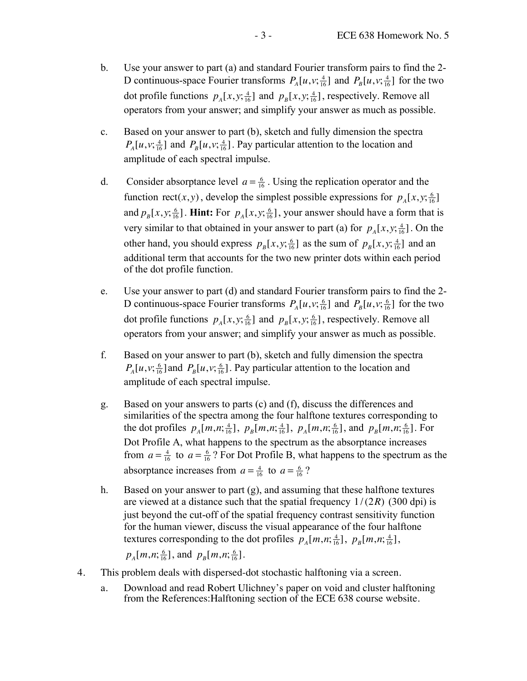- b. Use your answer to part (a) and standard Fourier transform pairs to find the 2- D continuous-space Fourier transforms  $P_A[u, v; \frac{4}{16}]$  and  $P_B[u, v; \frac{4}{16}]$  for the two dot profile functions  $p_A[x, y; \frac{4}{16}]$  and  $p_B[x, y; \frac{4}{16}]$ , respectively. Remove all operators from your answer; and simplify your answer as much as possible.
- c. Based on your answer to part (b), sketch and fully dimension the spectra  $P_A[u, v; \frac{4}{16}]$  and  $P_B[u, v; \frac{4}{16}]$ . Pay particular attention to the location and amplitude of each spectral impulse.
- d. Consider absorptance level  $a = \frac{6}{16}$ . Using the replication operator and the function rect(*x*, *y*), develop the simplest possible expressions for  $p_A[x, y; \frac{6}{16}]$ and  $p_B[x, y; \frac{6}{16}]$ . **Hint:** For  $p_A[x, y; \frac{6}{16}]$ , your answer should have a form that is very similar to that obtained in your answer to part (a) for  $p_A[x, y; \frac{4}{16}]$ . On the other hand, you should express  $p_B[x, y; \frac{6}{16}]$  as the sum of  $p_B[x, y; \frac{4}{16}]$  and an additional term that accounts for the two new printer dots within each period of the dot profile function.
- e. Use your answer to part (d) and standard Fourier transform pairs to find the 2- D continuous-space Fourier transforms  $P_A[u, v; \frac{6}{16}]$  and  $P_B[u, v; \frac{6}{16}]$  for the two dot profile functions  $p_A[x, y; \frac{6}{16}]$  and  $p_B[x, y; \frac{6}{16}]$ , respectively. Remove all operators from your answer; and simplify your answer as much as possible.
- f. Based on your answer to part (b), sketch and fully dimension the spectra  $P_A[u, v; \frac{6}{16}]$  and  $P_B[u, v; \frac{6}{16}]$ . Pay particular attention to the location and amplitude of each spectral impulse.
- g. Based on your answers to parts (c) and (f), discuss the differences and similarities of the spectra among the four halftone textures corresponding to the dot profiles  $p_A[m,n;\frac{4}{16}]$ ,  $p_B[m,n;\frac{4}{16}]$ ,  $p_A[m,n;\frac{6}{16}]$ , and  $p_B[m,n;\frac{6}{16}]$ . For Dot Profile A, what happens to the spectrum as the absorptance increases from  $a = \frac{4}{16}$  to  $a = \frac{6}{16}$ ? For Dot Profile B, what happens to the spectrum as the absorptance increases from  $a = \frac{4}{16}$  to  $a = \frac{6}{16}$ ?
- h. Based on your answer to part (g), and assuming that these halftone textures are viewed at a distance such that the spatial frequency  $1/(2R)$  (300 dpi) is just beyond the cut-off of the spatial frequency contrast sensitivity function for the human viewer, discuss the visual appearance of the four halftone textures corresponding to the dot profiles  $p_A[m,n;\frac{4}{16}]$ ,  $p_B[m,n;\frac{4}{16}]$ ,

 $p_A[m,n;\frac{6}{16}]$ , and  $p_B[m,n;\frac{6}{16}]$ .

- 4. This problem deals with dispersed-dot stochastic halftoning via a screen.
	- a. Download and read Robert Ulichney's paper on void and cluster halftoning from the References:Halftoning section of the ECE 638 course website.